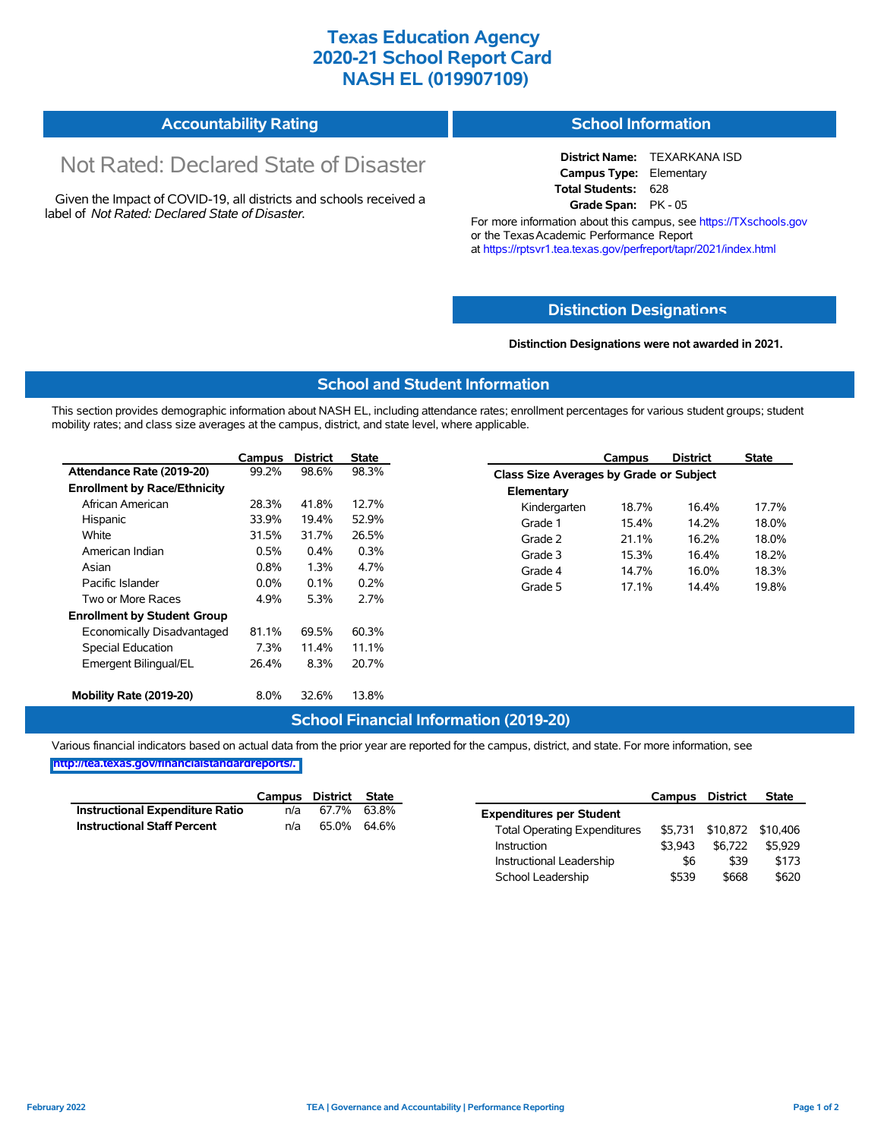## **Texas Education Agency 2020-21 School Report Card NASH EL (019907109)**

| <b>Accountability Rating</b> | <b>School Information</b> |
|------------------------------|---------------------------|
|------------------------------|---------------------------|

# Not Rated: Declared State of Disaster

Given the Impact of COVID-19, all districts and schools received a label of *Not Rated: Declared State of Disaster.*

**District Name:** TEXARKANA ISD **Campus Type:** Elementary **Total Students:** 628 **Grade Span:** PK - 05

For more information about this campus, see https://TXschools.gov or the Texas Academic Performance Report at https://rptsvr1.tea.texas.gov/perfreport/tapr/2021/index.html

#### **Distinction Designat[ions](https://TXschools.gov)**

**Distinction Designations were not awarded in 2021.**

School Leadership  $$539$  \$668 \$620

#### **School and Student Information**

This section provides demographic information about NASH EL, including attendance rates; enrollment percentages for various student groups; student mobility rates; and class size averages at the campus, district, and state level, where applicable.

|                                     | Campus  | <b>District</b> | <b>State</b> |              | Campus                                  | <b>District</b> | <b>State</b> |  |  |
|-------------------------------------|---------|-----------------|--------------|--------------|-----------------------------------------|-----------------|--------------|--|--|
| Attendance Rate (2019-20)           | 99.2%   | 98.6%           | 98.3%        |              | Class Size Averages by Grade or Subject |                 |              |  |  |
| <b>Enrollment by Race/Ethnicity</b> |         |                 |              | Elementary   |                                         |                 |              |  |  |
| African American                    | 28.3%   | 41.8%           | 12.7%        | Kindergarten | 18.7%                                   | 16.4%           | 17.7%        |  |  |
| Hispanic                            | 33.9%   | 19.4%           | 52.9%        | Grade 1      | 15.4%                                   | 14.2%           | 18.0%        |  |  |
| White                               | 31.5%   | 31.7%           | 26.5%        | Grade 2      | 21.1%                                   | 16.2%           | 18.0%        |  |  |
| American Indian                     | 0.5%    | 0.4%            | 0.3%         | Grade 3      | 15.3%                                   | 16.4%           | 18.2%        |  |  |
| Asian                               | 0.8%    | 1.3%            | 4.7%         | Grade 4      | 14.7%                                   | 16.0%           | 18.3%        |  |  |
| Pacific Islander                    | $0.0\%$ | 0.1%            | 0.2%         | Grade 5      | 17.1%                                   | 14.4%           | 19.8%        |  |  |
| Two or More Races                   | 4.9%    | 5.3%            | 2.7%         |              |                                         |                 |              |  |  |
| <b>Enrollment by Student Group</b>  |         |                 |              |              |                                         |                 |              |  |  |
| Economically Disadvantaged          | 81.1%   | 69.5%           | 60.3%        |              |                                         |                 |              |  |  |
| Special Education                   | 7.3%    | 11.4%           | 11.1%        |              |                                         |                 |              |  |  |
| Emergent Bilingual/EL               | 26.4%   | 8.3%            | 20.7%        |              |                                         |                 |              |  |  |
|                                     |         |                 |              |              |                                         |                 |              |  |  |
| Mobility Rate (2019-20)             | 8.0%    | 32.6%           | 13.8%        |              |                                         |                 |              |  |  |

#### **School Financial Information (2019-20)**

Various financial indicators based on actual data from the prior year are reported for the campus, district, and state. For more information, see

**[http://tea.texas.gov/financialstandardreports/.](http://tea.texas.gov/financialstandardreports/)**

|                                        | Campus | District State |             |                                     | Campus  | <b>District</b>           | <b>State</b> |
|----------------------------------------|--------|----------------|-------------|-------------------------------------|---------|---------------------------|--------------|
| <b>Instructional Expenditure Ratio</b> | n/a    | 67.7%          | 63.8%       | <b>Expenditures per Student</b>     |         |                           |              |
| <b>Instructional Staff Percent</b>     | n/a    |                | 65.0% 64.6% | <b>Total Operating Expenditures</b> |         | \$5,731 \$10,872 \$10,406 |              |
|                                        |        |                |             | Instruction                         | \$3.943 | \$6.722                   | \$5.929      |
|                                        |        |                |             | Instructional Leadership            | \$6     | \$39                      | \$173        |